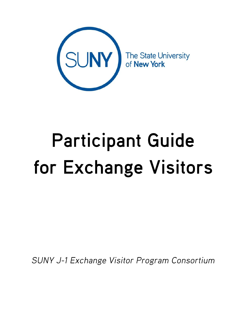

# **Participant Guide** for Exchange Visitors

SUNY J-1 Exchange Visitor Program Consortium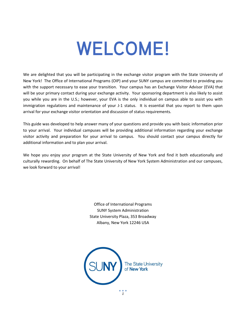## **WELCOME!**

We are delighted that you will be participating in the exchange visitor program with the State University of New York! The Office of International Programs (OIP) and your SUNY campus are committed to providing you with the support necessary to ease your transition. Your campus has an Exchange Visitor Advisor (EVA) that will be your primary contact during your exchange activity. Your sponsoring department is also likely to assist you while you are in the U.S.; however, your EVA is the only individual on campus able to assist you with immigration regulations and maintenance of your J-1 status. It is essential that you report to them upon arrival for your exchange visitor orientation and discussion of status requirements.

This guide was developed to help answer many of your questions and provide you with basic information prior to your arrival. Your individual campuses will be providing additional information regarding your exchange visitor activity and preparation for your arrival to campus. You should contact your campus directly for additional information and to plan your arrival.

We hope you enjoy your program at the State University of New York and find it both educationally and culturally rewarding. On behalf of The State University of New York System Administration and our campuses, we look forward to your arrival!

> Office of International Programs SUNY System Administration State University Plaza, 353 Broadway Albany, New York 12246 USA

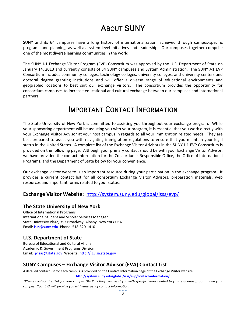## **ABOUT SUNY**

SUNY and its 64 campuses have a long history of internationalization, achieved through campus-specific programs and planning, as well as system-level initiatives and leadership. Our campuses together comprise one of the most diverse learning communities in the world.

The SUNY J-1 Exchange Visitor Program (EVP) Consortium was approved by the U.S. Department of State on January 14, 2013 and currently consists of 34 SUNY campuses and System Administration. The SUNY J-1 EVP Consortium includes community colleges, technology colleges, university colleges, and university centers and doctoral degree granting institutions and will offer a diverse range of educational environments and geographic locations to best suit our exchange visitors. The consortium provides the opportunity for consortium campuses to increase educational and cultural exchange between our campuses and international partners.

### **IMPORTANT CONTACT INFORMATION**

The State University of New York is committed to assisting you throughout your exchange program. While your sponsoring department will be assisting you with your program, it is essential that you work directly with your Exchange Visitor Advisor at your host campus in regards to all your immigration related needs. They are best prepared to assist you with navigating immigration regulations to ensure that you maintain your legal status in the United States. A complete list of the Exchange Visitor Advisors in the SUNY J-1 EVP Consortium is provided on the following page. Although your primary contact should be with your Exchange Visitor Advisor, we have provided the contact information for the Consortium's Responsible Office, the Office of International Programs, and the Department of State below for your convenience.

Our exchange visitor website is an important resource during your participation in the exchange program. It provides a current contact list for all consortium Exchange Visitor Advisors, preparation materials, web resources and important forms related to your status.

#### **Exchange Visitor Website:** <http://system.suny.edu/global/isss/evp/>

#### **The State University of New York**

Office of International Programs International Student and Scholar Services Manager State University Plaza, 353 Broadway, Albany, New York USA Email: [isss@suny.edu](mailto:isss@suny.edu) Phone: 518-320-1410

#### **U.S. Department of State**

Bureau of Educational and Cultural Affairs Academic & Government Programs Division Email: [jvisas@state.gov](mailto:jvisas@state.gov) Website: [http://j1visa.state.gov](http://j1visa.state.gov/)

#### **SUNY Campuses – Exchange Visitor Advisor (EVA) Contact List**

A detailed contact list for each campus is provided on the Contact Information page of the Exchange Visitor website: **<http://system.suny.edu/global/isss/evp/contact-information/>**

*\*Please contact the EVA for your campus ONLY as they can assist you with specific issues related to your exchange program and your campus. Your EVA will provide you with emergency contact information.*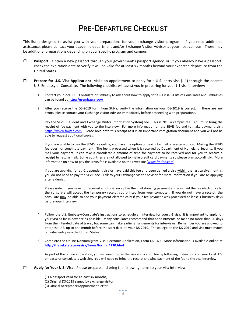## **PRE-DEPARTURE CHECKLIST**

This list is designed to assist you with your preparations for your exchange visitor program. If you need additional assistance, please contact your academic department and/or Exchange Visitor Advisor at your host campus. There may be additional preparations depending on your specific program and campus.

- **Passport:** Obtain a new passport through your government's passport agency, or, if you already have a passport, check the expiration date to verify it will be valid for at least six months beyond your expected departure from the United States.
- **Prepare for U.S. Visa Application:** Make an appointment to apply for a U.S. entry visa (J-1) through the nearest U.S. Embassy or Consulate. The following checklist will assist you in preparing for your J-1 visa interview:
	- 1) Contact your local U.S. Consulate or Embassy to ask about how to apply for a J-1 visa. A list of Consulates and Embassies can be found at **<http://usembassy.gov/>**
	- 2) After you receive the DS-2019 form from SUNY, verify the information on your DS-2019 is correct. If there are any errors, please contact your Exchange Visitor Advisor immediately before proceeding with preparations.
	- 3) Pay the SEVIS (Student and Exchange Visitor Information System) fee. This is NOT a campus fee. You must bring the receipt of fee payment with you to the interview. For more information on the SEVIS fee and to make payment, visit [https://www.fmjfee.com.](https://www.fmjfee.com/) Please hold onto this receipt as it is an important immigration document and you will not be able to request additional copies.

If you are unable to pay the SEVIS fee online, you have the option of paying by mail or western union. Mailing the SEVIS fee does not constitute payment. The fee is processed when it is received by Department of Homeland Security. If you mail your payment, it can take a considerable amount of time for payment to be received and for you to receive a receipt by return mail. Some countries are not allowed to make credit card payments so please plan accordingly. More information on how to pay the SEVIS fee is available on their website [\(www.fmjfee.com\)](http://www.fmjfee.com/).

If you are applying for a J-2 dependent visa or have paid this fee and been denied a visa within the last twelve months, you do not need to pay the SEVIS fee. Talk to your Exchange Visitor Advisor for more information if you are re-applying after a denial.

Please note: If you have not received an official receipt in the mail showing payment and you paid the fee electronically, the consulate will accept the temporary receipt you printed from your computer. If you do not have a receipt, the consulate may be able to see your payment electronically if your fee payment was processed at least 3 business days before your interview.

- 4) Follow the U.S. Embassy/Consulate's instructions to schedule an interview for your J-1 visa. It is important to apply for your visa as far in advance as possible. Many consulates recommend that appointments be made no more than 90 days from the intended date of travel, but some can make earlier arrangements for interviews. Remember you are allowed to enter the U.S. up to one month before the start date on your DS-2019. The college on the DS-2019 and visa must match on initial entry into the United States.
- 5) Complete the Online Nonimmigrant Visa Electronic Application, Form DS 160. More information is available online at **[http://travel.state.gov/visa/forms/forms\\_4230.html](http://travel.state.gov/visa/forms/forms_4230.html)**

As part of the online application, you will need to pay the visa application fee by following instructions on your local U.S. embassy or consulate's web site. You will need to bring the receipt showing payment of the fee to the visa interview

- **Apply for Your U.S. Visa:** Please prepare and bring the following items to your visa interview.
	- (1) A passport valid for at least six months;
	- (2) Original DS-2019 signed by exchange visitor;
	- (3) Official Acceptance/Appointment letter;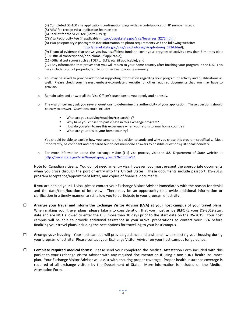(4) Completed DS-160 visa application (confirmation page with barcode/application ID number listed);

- (5) MRV fee receipt (visa application fee receipt);
- (6) Receipt for the SEVIS fee (Form I-797);
- (7) Visa Reciprocity Fee (if applicable) [\(http://travel.state.gov/visa/fees/fees\\_3272.html\)](http://travel.state.gov/visa/fees/fees_3272.html);
- (8) Two passport style photograph (for information on photo requirements visit the following website:

[http://travel.state.gov/visa/visaphotoreq/visaphotoreq\\_5334.html\)](http://travel.state.gov/visa/visaphotoreq/visaphotoreq_5334.html);

(9) Financial evidence that shows you have sufficient funds to cover your program of activity (less than 6 months old); (10) Official transcript and/or diploma (if applicable);

(11) Official test scores such as TOEFL, IELTS, etc. (if applicable); and

(12) Any information that proves that you will return to your home country after finishing your program in the U.S. This may include proof of property, family, or other ties to your community.

- $\circ$  You may be asked to provide additional supporting information regarding your program of activity and qualifications as well. Please check your nearest embassy/consulate's website for other required documents that you may have to provide.
- o Remain calm and answer all the Visa Officer's questions to you openly and honestly.
- $\circ$  The visa officer may ask you several questions to determine the authenticity of your application. These questions should be easy to answer. Questions could include:
	- What are you studying/teaching/researching?
	- Why have you chosen to participate in this exchange program?
	- How do you plan to use this experience when you return to your home country?
	- What are your ties to your home country?

You should be able to explain how you came to this decision to study and why you chose this program specifically. Most importantly, be confident and prepared but do not memorize answers to possible questions-just speak honestly.

o For more information about the exchange visitor (J-1) visa process, visit the U.S. Department of State website at [http://travel.state.gov/visa/temp/types/types\\_1267.html#12.](http://travel.state.gov/visa/temp/types/types_1267.html#12)

Note for Canadian citizens: You do not need an entry visa; however, you must present the appropriate documents when you cross through the port of entry into the United States. These documents include passport, DS-2019, program acceptance/appointment letter, and copies of financial documents.

If you are denied your J-1 visa, please contact your Exchange Visitor Advisor immediately with the reason for denial and the date/time/location of interview. There may be an opportunity to provide additional information or clarification in a timely manner to still allow you to participate in your program of activity.

- **Arrange your travel and inform the Exchange Visitor Advisor (EVA) at your host campus of your travel plans:** When making your travel plans, please take into consideration that you must arrive BEFORE your DS-2019 start date and are NOT allowed to enter the U.S. more than 30 days prior to the start date on the DS-2019. Your host campus will be able to provide additional assistance in your arrival preparations so contact your EVA before finalizing your travel plans including the best options for travelling to your host campus.
- **Arrange your housing:** Your host campus will provide guidance and assistance with selecting your housing during your program of activity. Please contact your Exchange Visitor Advisor on your host campus for guidance.
- **Complete required medical forms:** Please send your completed the Medical Attestation Form included with this packet to your Exchange Visitor Advisor with any required documentation if using a non-SUNY health insurance plan. Your Exchange Visitor Advisor will assist with ensuring proper coverage. Proper health insurance coverage is required of all exchange visitors by the Department of State. More information is included on the Medical Attestation Form.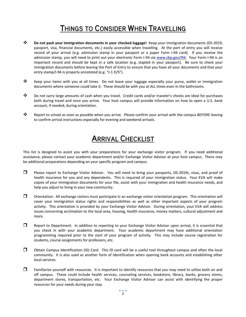## THINGS TO CONSIDER WHEN TRAVELLING

- **Do not pack your immigration documents in your checked luggage!** Keep your immigration documents (DS-2019, passport, visa, financial documents, etc.) easily accessible when travelling. At the port of entry you will receive record of your arrival (e.g. admission stamp in your passport or a paper Form I-94 card). If you receive the admission stamp, you will need to print out your electronic Form I-94 via [www.cbp.gov/I94.](http://www.cbp.gov/I94) Your Form I-94 is an important record and should be kept in a safe location (e.g. stapled in your passport). Be sure to check your immigration documents before leaving the Port of Entry to ensure that you have all your documents and that your entry stamp/I-94 is properly annotated (e.g. "J-1 D/S").
- \* Keep your items with you at all times. Do not leave your luggage especially your purse, wallet or immigration documents where someone could take it. These should be with you at ALL times even in the bathrooms.
- Do not carry large amounts of cash when you travel. Credit cards and/or traveler's checks are ideal for purchases both during travel and once you arrive. Your host campus will provide information on how to open a U.S. bank account, if needed, during orientation.
- Report to school as soon as possible when you arrive. Please confirm your arrival with the campus BEFORE leaving to confirm arrival instructions especially for evening and weekend arrivals.

## **ARRIVAL CHECKLIST**

This list is designed to assist you with your preparations for your exchange visitor program. If you need additional assistance, please contact your academic department and/or Exchange Visitor Advisor at your host campus. There may be additional preparations depending on your specific program and campus.

- Please report to Exchange Visitor Advisor. You will need to bring your passports, DS-2019s, visas, and proof of health insurance for you and any dependents. This is required of your immigration status. Your EVA will make copies of your immigration documents for your file, assist with your immigration and health insurance needs, and help you adjust to living in your new community.
- $\square$  Orientation: All exchange visitors must participate in an exchange visitor orientation program. This orientation will cover your immigration status rights and responsibilities as well as other important aspects of your program activity. This orientation is provided by your Exchange Visitor Advisor. During orientation, your EVA will address issues concerning acclimation to the local area, housing, health insurance, money matters, cultural adjustment and more.
- E Report to Department: In addition to reporting to your Exchange Visitor Advisor upon arrival, it is essential that you check in with your academic department. Your academic department may have additional orientation programming required prior to the start of your program of activity. This may include course registration for students, course assignments for professors, etc.
- $\Box$  Obtain Campus Identification (ID) Card. This ID card will be a useful tool throughout campus and often the local community. It is also used as another form of identification when opening bank accounts and establishing other local services.
- $\Box$  Familiarize yourself with resources. It is important to identify resources that you may need to utilize both on and off campus. These could include health services, counseling services, bookstore, library, banks, grocery stores, department stores, transportation, etc. Your Exchange Visitor Advisor can assist with identifying the proper resources for your needs during your stay.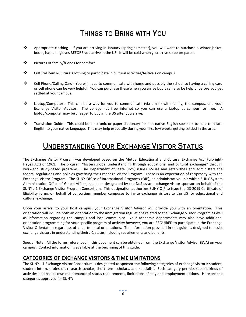## THINGS TO BRING WITH YOU

- Appropriate clothing If you are arriving in January (spring semester), you will want to purchase a winter jacket, boots, hat, and gloves BEFORE you arrive in the US. It will be cold when you arrive so be prepared.
- ❖ Pictures of family/friends for comfort
- Cultural Items/Cultural Clothing to participate in cultural activities/festivals on campus
- Cell Phone/Calling Card You will need to communicate with home and possibly the school so having a calling card or cell phone can be very helpful. You can purchase these when you arrive but it can also be helpful before you get settled at your campus.
- Laptop/Computer This can be a way for you to communicate (via email) with family, the campus, and your Exchange Visitor Advisor. The college has free internet so you can use a laptop at campus for free. A laptop/computer may be cheaper to buy in the US after you arrive.
- \* Translation Guide This could be electronic or paper dictionary for non native English speakers to help translate English to your native language. This may help especially during your first few weeks getting settled in the area.

## **UNDERSTANDING YOUR EXCHANGE VISITOR STATUS**

The Exchange Visitor Program was developed based on the Mutual Educational and Cultural Exchange Act (Fulbright-Hayes Act) of 1961. The program "fosters global understanding through educational and cultural exchanges" through work-and study-based programs. The Department of State (DoS) issues J-Visas and establishes and administers the federal regulations and policies governing the Exchange Visitor Program. There is an expectation of reciprocity with the Exchange Visitor Program. The SUNY Office of International Programs (OIP), an administrative unit within SUNY System Administration Office of Global Affairs, has been designated by the DoS as an exchange visitor sponsor on behalf of the SUNY J-1 Exchange Visitor Program Consortium. This designation authorizes SUNY OIP to issue the DS-2019 Certificate of Eligibility forms on behalf of consortium member campuses to invite exchange visitors to the US for educational and cultural exchange.

Upon your arrival to your host campus, your Exchange Visitor Advisor will provide you with an orientation. This orientation will include both an orientation to the immigration regulations related to the Exchange Visitor Program as well as information regarding the campus and local community. Your academic departments may also have additional orientation programming for your specific program of activity; however, you are REQUIRED to participate in the Exchange Visitor Orientation regardless of departmental orientations. The information provided in this guide is designed to assist exchange visitors in understanding their J-1 status including requirements and benefits.

Special Note: All the forms referenced in this document can be obtained from the Exchange Visitor Advisor (EVA) on your campus. Contact information is available at the beginning of this guide.

#### **CATEGORIES OF EXCHANGE VISITORS & TIME LIMITATIONS**

The SUNY J-1 Exchange Visitor Consortium is designated to sponsor the following categories of exchange visitors: student, student intern, professor, research scholar, short-term scholars, and specialist. Each category permits specific kinds of activities and has its own maintenance of status requirements, limitations of stay and employment options. Here are the categories approved for SUNY: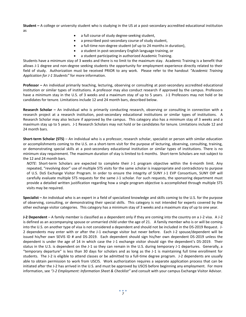**Student –** A college or university student who is studying in the US at a post-secondary accredited educational institution as

- a full course of study degree-seeking student,
- a prescribed post-secondary course of study student,
- a full-time non-degree student (of up to 24 months in duration),
- a student in post-secondary English language training, or
- a student participating in authorized Academic Training.

Students have a minimum stay of 3 weeks and there is no limit to the maximum stay. Academic Training is a benefit that allows J-1 degree and non-degree seeking students the opportunity for employment experience directly related to their field of study. Authorization must be received PRIOR to any work. Please refer to the handout *"Academic Training Application for J-1 Students"* for more information.

**Professor –** An individual primarily teaching, lecturing, observing or consulting at post-secondary accredited educational institution or similar types of institutions. A professor may also conduct research if approved by the campus. Professors have a minimum stay in the U.S. of 3 weeks and a maximum stay of up to 5 years. J-1 Professors may not hold or be candidates for tenure. Limitations include 12 and 24 month bars, described below.

**Research Scholar –** An individual who is primarily conducting research, observing or consulting in connection with a research project at a research institution, post-secondary educational institutions or similar types of institutions. A Research Scholar may also lecture if approved by the campus. This category also has a minimum stay of 3 weeks and a maximum stay up to 5 years. J-1 Research Scholars may not hold or be candidates for tenure. Limitations include 12 and 24 month bars.

**Short-term Scholar (STS)** – An individual who is a professor, research scholar, specialist or person with similar education or accomplishments coming to the U.S. on a short-term visit for the purpose of lecturing, observing, consulting, training, or demonstrating special skills at a post-secondary educational institution or similar types of institutions. There is no minimum stay requirement. The maximum duration of stay is limited to 6 months. Short-term Scholars are not subject to the 12 and 24 month bars.

*NOTE:* Short-term Scholars are expected to complete their J-1 program objective within the 6-month limit. Any repeated, "revolving door" use of multiple STS visits for the same scholar is inappropriate and contradictory to purpose of U.S. DoS Exchange Visitor Program. In order to ensure the integrity of SUNY J-1 EVP Consortium, SUNY OIP will carefully evaluate multiple STS requests for the same J-1 scholar. For such requests, the sponsoring department must provide a detailed written justification regarding how a single program objective is accomplished through multiple STS visits may be required.

**Specialist –** An individual who is an expert in a field of specialized knowledge and skills coming to the U.S. for the purpose of observing, consulting, or demonstrating their special skills. This category is not intended for experts covered by the other exchange visitor categories. This category has a minimum stay of 3 weeks and a maximum stay of up to one year.

**J-2 Dependent** – A family member is classified as a dependent only if they are coming into the country on a J-2 visa. A J-2 is defined as an accompanying spouse or unmarried child under the age of 21. A family member who is or will be coming into the U.S. on another type of visa is not considered a dependent and should not be included in the DS-2019 Request. J-2 dependents may enter with or after the J-1 exchange visitor but never before. Each J-2 spouse/dependent will be issued his/her own SEVIS ID # and DS-2019. Each dependent should sign his/her own dependent DS-2019 unless the dependent is under the age of 14 in which case the J-1 exchange visitor should sign the dependent's DS-2019. Their status in the U.S. is dependent on the J-1 so they can remain in the U.S. during temporary J-1 departures. Generally, a "temporary departure" is less than 30 days for scholars and as long as the J-1 is maintaining full time enrollment for students. The J-2 is eligible to attend classes or be admitted to a full-time degree program. J-2 dependents are usually able to obtain permission to work from USCIS. Work authorization requires a separate application process that can be initiated after the J-2 has arrived in the U.S. and must be approved by USCIS before beginning any employment. For more information, see *"J-2 Employment: Information Sheet & Checklist"* and consult with your campus Exchange Visitor Advisor.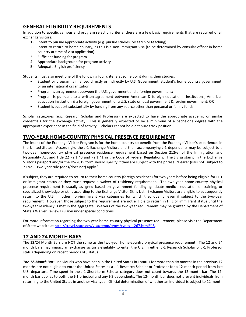#### **GENERAL ELIGIBILITY REQUIREMENTS**

In addition to specific campus and program selection criteria, there are a few basic requirements that are required of all exchange visitors:

- 1) Intent to pursue appropriate activity (e.g. pursue studies, research or teaching)
- 2) Intent to return to home country, as this is a non-immigrant visa (to be determined by consular officer in home country at time of visa application)
- 3) Sufficient funding for program
- 4) Appropriate background for program activity
- 5) Adequate English proficiency

Students must also meet one of the following four criteria at some point during their studies:

- Student or program is financed directly or indirectly by U.S. Government, student's home country government, or an international organization;
- Program is an agreement between the U.S. government and a foreign government;
- Program is pursuant to a written agreement between American & foreign educational institutions, American education institution & a foreign government, or a U.S. state or local government & foreign government; OR
- Student is support substantially by funding from any source other than personal or family funds

Scholar categories (e.g. Research Scholar and Professor) are expected to have the appropriate academic or similar credentials for the exchange activity. This is generally expected to be a minimum of a bachelor's degree with the appropriate experience in the field of activity. Scholars cannot hold a tenure track position.

#### **TWO-YEAR HOME-COUNTRY PHYSICAL PRESENCE REQUIREMENT**

The intent of the Exchange Visitor Program is for the home country to benefit from the Exchange Visitor's experiences in the United States. Accordingly, the J-1 Exchange Visitors and their accompanying J-1 dependents may be subject to a two-year home-country physical presence residence requirement based on Section 212(e) of the Immigration and Nationality Act and Title 22 Part 40 and Part 41 in the Code of Federal Regulations. The J visa stamp in the Exchange Visitor's passport and/or the DS-2019 form should specify if they are subject with the phrase: "Bearer (is/is not) subject to 212(e). Two-year rule (does/does not) apply."

If subject, they are required to return to their home country (foreign residence) for two years before being eligible for H, L or immigrant status or they must request a waiver of residency requirement. The two-year home-country physical presence requirement is usually assigned based on government funding, graduate medical education or training, or specialized knowledge or skills according to the Exchange Visitor Skills List. Exchange Visitors are eligible to subsequently return to the U.S. in other non-immigrant visa categories for which they qualify, even if subject to the two-year requirement. However, those subject to the requirement are not eligible to return in H, L or immigrant status until the two-year residency is met in the aggregate. Waivers of the two-year requirement may be granted by the Department of State's Waiver Review Division under special conditions.

For more information regarding the two-year home-country physical presence requirement, please visit the Department of State website at [http://travel.state.gov/visa/temp/types/types\\_1267.html#15.](http://travel.state.gov/visa/temp/types/types_1267.html#15)

#### **12 AND 24 MONTH BARS**

The 12/24 Month Bars are NOT the same as the two-year home-country physical presence requirement. The 12 and 24 month bars may impact an exchange visitor's eligibility to enter the U.S. in either J-1 Research Scholar or J-1 Professor status depending on recent periods of J status.

*The 12-Month Bar:* Individuals who have been in the United States in J status for more than six months in the previous 12 months are not eligible to enter the United States as a J-1 Research Scholar or Professor for a 12-month period from last U.S. departure. Time spent in the J-1 Short-term Scholar category does not count towards the 12-month bar. The 12 month bar applies to both the J-1 principal and any J-2 dependents. The 12-month bar does not prevent individuals from returning to the United States in another visa type. Official determination of whether an individual is subject to 12 month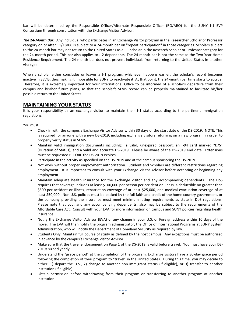bar will be determined by the Responsible Officer/Alternate Responsible Officer (RO/ARO) for the SUNY J-1 EVP Consortium through consultation with the Exchange Visitor Advisor.

*The 24-Month Bar:* Any individual who participates in an Exchange Visitor program in the Researcher Scholar or Professor category on or after 11/18/06 is subject to a 24-month bar on "repeat participation" in those categories. Scholars subject to the 24-month bar may not return to the United States as a J-1 scholar in the Research Scholar or Professor category for the 24-month period. This bar also applies to J-2 dependents. The 24-month bar is not the same as the Two Year Home Residence Requirement. The 24-month bar does not prevent individuals from returning to the United States in another visa type.

When a scholar either concludes or leaves a J-1 program, whichever happens earlier, the scholar's record becomes inactive in SEVIS; thus making it impossible for SUNY to reactivate it. At that point, the 24-month bar time starts to accrue. Therefore, it is extremely important for your International Office to be informed of a scholar's departure from their campus and his/her future plans, so that the scholar's SEVIS record can be properly maintained to facilitate his/her possible return to the United States.

#### **MAINTAINING YOUR STATUS**

It is your responsibility as an exchange visitor to maintain their J-1 status according to the pertinent immigration regulations.

You must:

- Check in with the campus's Exchange Visitor Advisor within 30 days of the start date of the DS-2019. NOTE: This is required for anyone with a new DS-2019, including exchange visitors returning on a new program in order to properly verify status in SEVIS.
- Maintain valid immigration documents including: a valid, unexpired passport; an I-94 card marked "D/S" (Duration of Status); and a valid and accurate DS-2019. Please be aware of the DS-2019 end date. Extensions must be requested BEFORE the DS-2019 expires.
- Participate in the activity as specified on the DS-2019 and at the campus sponsoring the DS-2019.
- Not work without proper employment authorization. Student and Scholars are different restrictions regarding employment. It is important to consult with your Exchange Visitor Advisor before accepting or beginning any employment.
- Maintain adequate health insurance for the exchange visitor and any accompanying dependents. The DoS requires that coverage includes at least \$100,000 per person per accident or illness, a deductible no greater than \$500 per accident or illness, repatriation coverage of at least \$25,000, and medical evacuation coverage of at least \$50,000. Non U.S. policies must be backed by the full faith and credit of the home country government, or the company providing the insurance must meet minimum rating requirements as state in DoS regulations. Please note that you, and any accompanying dependents, also may be subject to the requirements of the Affordable Care Act. Consult with your EVA for more information on campus and SUNY policies regarding health insurance.
- Notify the Exchange Visitor Advisor (EVA) of any change in your U.S. or Foreign address within 10 days of the move. The EVA will then notify the program administrator, the Office of International Programs at SUNY System Administration, who will notify the Department of Homeland Security as required by law.
- Students Only: Maintain full course of study as defined by the host campus. Any exceptions must be authorized in advance by the campus's Exchange Visitor Advisor.
- Make sure that the travel endorsement on Page 1 of the DS-2019 is valid before travel. You must have your DS-2019s signed yearly.
- Understand the "grace period" at the completion of the program. Exchange visitors have a 30-day grace period following the completion of their program to "travel" in the United States. During this time, you may decide to either: 1) depart the U.S., 2) change to another non-immigrant status (if eligible), or 3) transfer to another institution (if eligible).
- Obtain permission before withdrawing from their program or transferring to another program at another institution.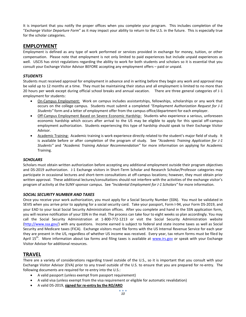It is important that you notify the proper offices when you complete your program. This includes completion of the "*Exchange Visitor Departure Form*" as it may impact your ability to return to the U.S. in the future. This is especially true for the scholar categories.

#### **EMPLOYMENT**

Employment is defined as any type of work performed or services provided in exchange for money, tuition, or other compensation. Please note that employment is not only limited to paid experiences but include unpaid experiences as well. USCIS has strict regulations regarding the ability to work for both students and scholars so it is essential that you consult your Exchange Visitor Advisor BEFORE accepting any employment offers – paid or unpaid.

#### *STUDENTS*

Students must received approval for employment in advance and in writing before they begin any work and approval may be valid up to 12 months at a time. They must be maintaining their status and all employment is limited to no more than 20 hours per week except during official school breaks and annual vacation. There are three general categories of J-1 employment for students:

- On-Campus Employment: Work on campus includes assistantships, fellowships, scholarships or any work that occurs on the college campus. Students must submit a completed *"Employment Authorization Request for J-1 Students"* form and a letter of employment offer from the campus office/department for each employer.
- Off-Campus Employment Based on Severe Economic Hardship: Students who experience a serious, unforeseen economic hardship which occurs after arrival to the US may be eligible to apply for this special off-campus employment authorization. Students experiencing this type of hardship should speak to their Exchange Visitor Advisor.
- Academic Training: Academic training is work experience directly related to the student's major field of study. It is available before or after completion of the program of study. See *"Academic Training Application for J-1 Students"* and *"Academic Training Advisor Recommendation"* for more information on applying for Academic Training.

#### *SCHOLARS*

Scholars must obtain written authorization before accepting any additional employment outside their program objectives and DS-2019 authorization. J-1 Exchange visitors in Short-Term Scholar and Research Scholar/Professor categories may participate in occasional lectures and short-term consultations at off-campus locations; however, they must obtain prior written approval. These additional lectures/consultations should not interfere with the activities of the exchange visitor's program of activity at the SUNY sponsor campus. See *"Incidental Employment for J-1 Scholars"* for more information.

#### *SOCIAL SECURITY NUMBER AND TAXES*

Once you receive your work authorization, you must apply for a Social Security Number (SSN). You must be validated in SEVIS when you arrive prior to applying for a social security card. Take your passport, Form I-94, your Form DS-2019, and your EAD to your local Social Security Administration offices. After you complete and hand in the SSN application form, you will receive notification of your SSN in the mail. The process can take four to eight weeks so plan accordingly. You may call the Social Security Administration at 1-800-772-1213 or visit the Social Security Administration website [\(http://www.ssa.gov/\)](http://www.ssa.gov/) with any questions. Income earned is subject to federal and state income taxes as well as Social Security and Medicare taxes (FICA). Exchange visitors must file forms with the US Internal Revenue Service for each year they are present in the US, regardless of whether US income was received. Every year, tax return forms must be filed by April 15<sup>th</sup>. More information about tax forms and filing taxes is available at [www.irs.gov](http://www.irs.gov/) or speak with your Exchange Visitor Advisor for additional resources.

#### **TRAVEL**

There are a variety of considerations regarding travel outside of the U.S., so it is important that you consult with your Exchange Visitor Advisor (EVA) prior to any travel outside of the U.S. to ensure that you are prepared for re-entry. The following documents are required for re-entry into the U.S.:

- A valid passport (unless exempt from passport requirement)
- A valid visa (unless exempt from the visa requirement or eligible for automatic revalidation)
- A valid DS-2019, **signed for re-entry by the RO/ARO**